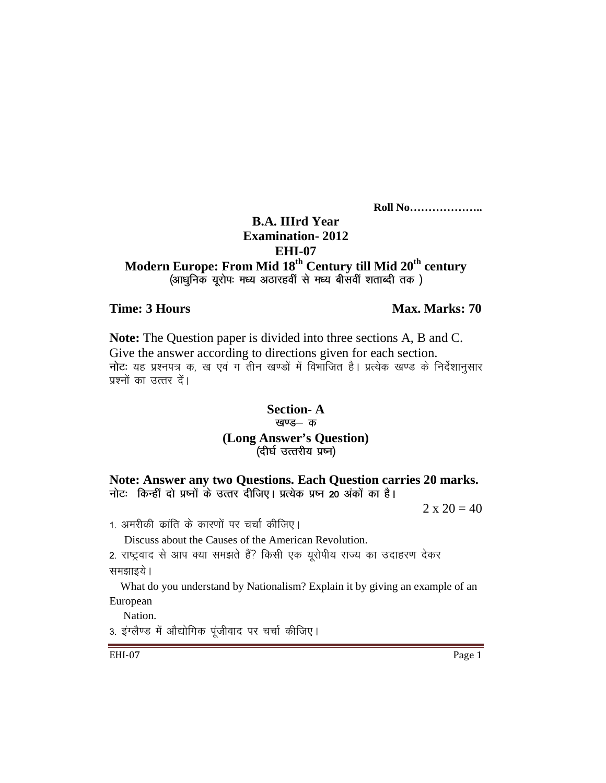**Roll No………………..** 

## **B.A. IIIrd Year Examination- 2012 EHI-07**

## **Modern Europe: From Mid 18th Century till Mid 20th century**  (आधुनिक यूरोप: मध्य अठारहवीं से मध्य बीसवीं शताब्दी तक)

### **Time: 3 Hours Max. Marks: 70** *Max. Marks: 70*

**Note:** The Question paper is divided into three sections A, B and C. Give the answer according to directions given for each section. नोटः यह प्रश्नपत्र क, ख एवं ग तीन खण्डों में विभाजित है। प्रत्येक खण्ड के निर्देशानुसार प्रश्नों का उत्तर दें।

## **Section- A**  खण्ड— क **(Long Answer's Question)**  (दीर्घ उत्तरीय प्रष्न)

**Note: Answer any two Questions. Each Question carries 20 marks.**  नोटः किन्हीं दो प्रष्नों के उत्तर दीजिए। प्रत्येक प्रष्न 20 अंकों का है।

 $2 \times 20 = 40$ 

1. अमरीकी क्रांति के कारणों पर चर्चा कीजिए।

Discuss about the Causes of the American Revolution.

2. राष्ट्रवाद से आप क्या समझते हैं? किसी एक यूरोपीय राज्य का उदाहरण देकर समझाइये।

 What do you understand by Nationalism? Explain it by giving an example of an European

Nation.

3. इंग्लैण्ड में औद्योगिक पूंजीवाद पर चर्चा कीजिए।

EHI-07 Page 1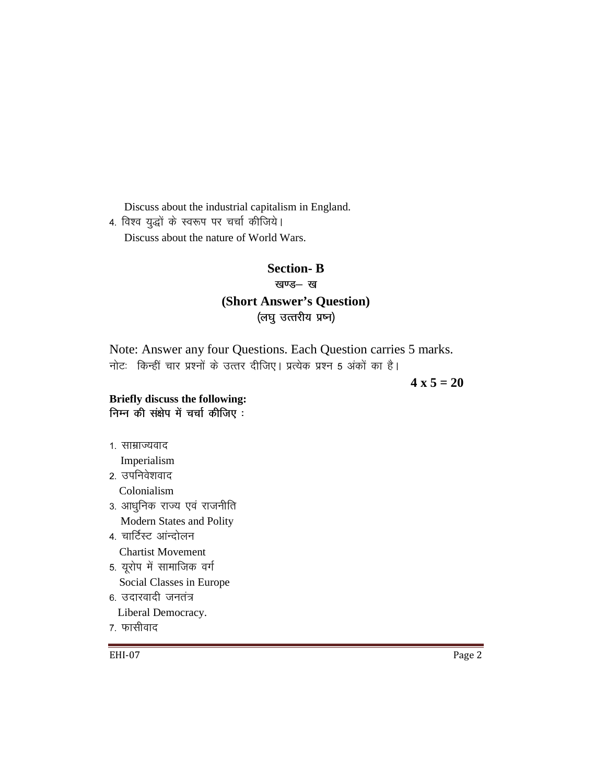Discuss about the industrial capitalism in England.

4. विश्व युद्धों के स्वरूप पर चर्चा कीजिये। Discuss about the nature of World Wars.

# **Section-B** खण्ड— ख (Short Answer's Question) (लघु उत्तरीय प्रष्न)

Note: Answer any four Questions. Each Question carries 5 marks. नोटः किन्हीं चार प्रश्नों के उत्तर दीजिए। प्रत्येक प्रश्न 5 अंकों का है।

 $4 \times 5 = 20$ 

### Briefly discuss the following: निम्न की संक्षेप में चर्चा कीजिए:

1. साम्राज्यवाद

Imperialism

- २ उपनिवेशवाद Colonialism
- 3. आधुनिक राज्य एवं राजनीति
- Modern States and Polity
- 4 चार्टिस्ट आंन्दोलन
	- **Chartist Movement**
- 5. यूरोप में सामाजिक वर्ग
	- Social Classes in Europe
- 6. उदारवादी जनतंत्र
	- Liberal Democracy.
- 7. फासीवाद

EHI-07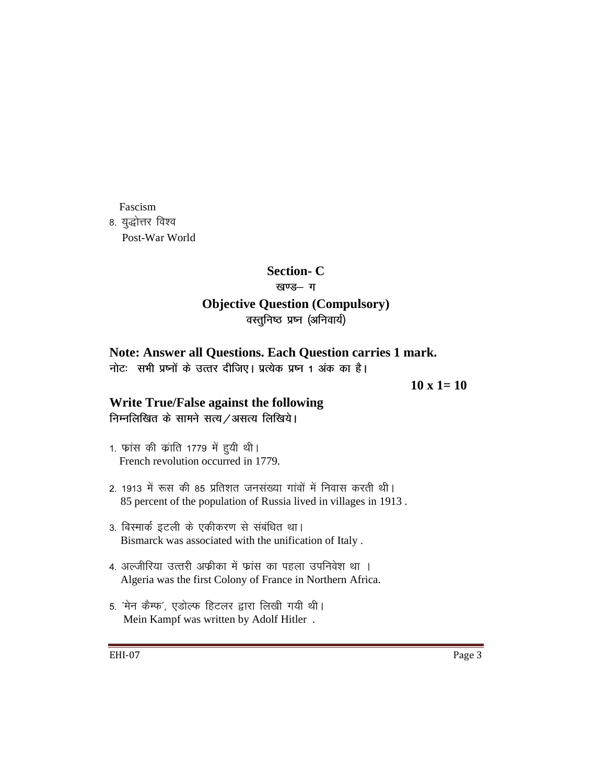Fascism

8. युद्धोत्तर विश्व Post-War World

# **Section- C**

## खण्ड- ग

## **Objective Question (Compulsory)**  वस्तुनिष्ठ प्रष्न (अनिवार्य)

# **Note: Answer all Questions. Each Question carries 1 mark.**

नोट: सभी प्रष्नों के उत्तर दीजिए। प्रत्येक प्रष्न 1 अंक का है।

**10 x 1= 10** 

# **Write True/False against the following**

निम्नलिखित के सामने सत्य / असत्य लिखिये।

- 1. फ्रांस की क्रांति 1779 में हुयी थी। French revolution occurred in 1779.
- 2. 1913 में रूस की 85 प्रतिशत जनसंख्या गांवों में निवास करती थी। 85 percent of the population of Russia lived in villages in 1913 .
- 3. बिस्मार्क इटली के एकीकरण से संबंधित था। Bismarck was associated with the unification of Italy .
- 4. अल्जीरिया उत्तरी अफ्रीका में फ्रांस का पहला उपनिवेश था । Algeria was the first Colony of France in Northern Africa.
- 5. 'मेन कैम्फ', एडोल्फ हिटलर द्वारा लिखी गयी थी। Mein Kampf was written by Adolf Hitler .

EHI-07 Page 3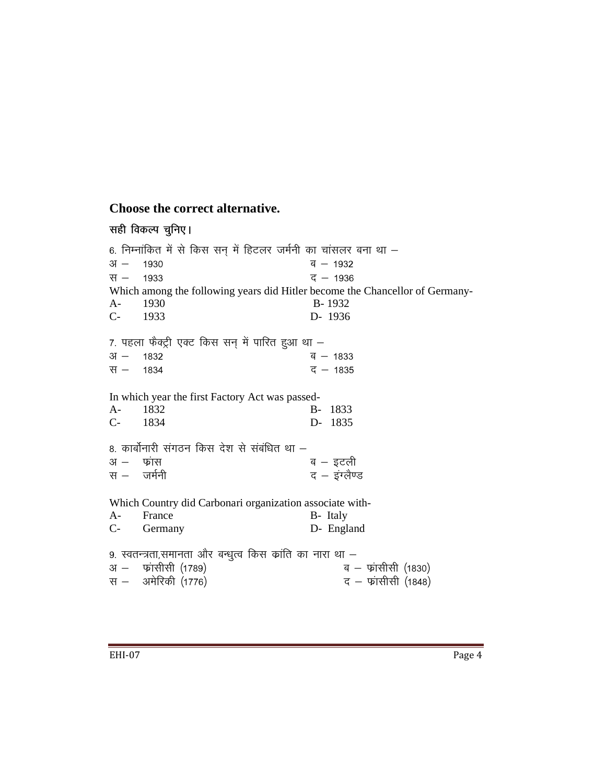# **Choose the correct alternative.**

| सही विकल्प चुनिए।                                                                                                                                                                                            |                                              |
|--------------------------------------------------------------------------------------------------------------------------------------------------------------------------------------------------------------|----------------------------------------------|
| 6. निम्नांकित में से किस सन् में हिटलर जर्मनी का चांसलर बना था –<br>$3I -$<br>1930<br>स $-$ 1933<br>Which among the following years did Hitler become the Chancellor of Germany-<br>1930<br>$A-$<br>$C-1933$ | ब — 1932<br>द – 1936<br>B-1932<br>D- 1936    |
| 7. पहला फैक्ट्री एक्ट किस सन् में पारित हुआ था –<br>$31 - 1832$<br>स – 1834                                                                                                                                  | ब $-1833$<br>$\overline{5}$ – 1835           |
| In which year the first Factory Act was passed-<br>1832<br>$A-$<br>C- 1834                                                                                                                                   | $B -$<br>1833<br>D- 1835                     |
| 8. कार्बोनारी संगठन किस देश से संबंधित था –<br>अ $-$ फ़्रांस<br>स $-$ जर्मनी                                                                                                                                 | ब – इटली<br>द - इंग्लैण्ड                    |
| Which Country did Carbonari organization associate with-<br>France<br>$A -$<br>$C-$<br>Germany                                                                                                               | B- Italy<br>D- England                       |
| 9. स्वतन्त्रता,समानता और बन्धुत्व किस क्रांति का नारा था –<br>अ – फांसीसी (1789)<br>स – अमेरिकी (1776)                                                                                                       | ब – फ्रांसीसी (1830)<br>द – फ्रांसीसी (1848) |